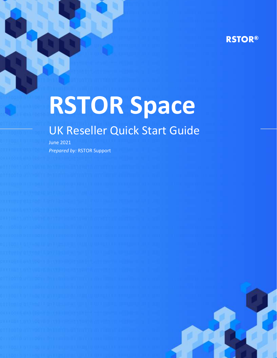# **RSTOR®**

# **RSTOR Space**

# UK Reseller Quick Start Guide

June 2021 *Prepared by:* RSTOR Support

rstor.io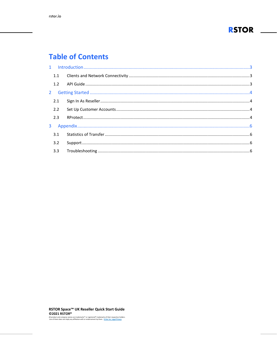

# **Table of Contents**

| 2.2 |  |
|-----|--|
| 2.3 |  |
|     |  |
|     |  |
| 3.2 |  |
|     |  |
|     |  |

RSTOR Space™ UK Reseller Quick Start Guide ©2021 RSTOR®

All product and company names are trademarks" or registered<sup>®</sup> trademarks of their respective holders.<br>Use of them does not imply any affiliation with or endorsement by them. <u>R-Stor Inc. Legal Privacy</u>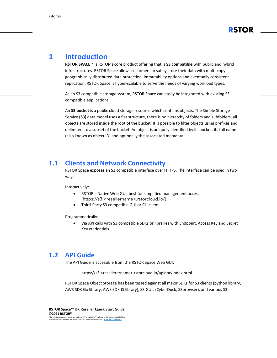

# <span id="page-2-0"></span>**1 Introduction**

**RSTOR SPACE™** is RSTOR's core product offering that is **S3 compatible** with public and hybrid infrastructures. RSTOR Space allows customers to safely store their data with multi-copy geographically distributed data protection, immutability options and eventually consistent replication. RSTOR Space is hyper-scalable to serve the needs of varying workload types.

As an S3 compatible storage system, RSTOR Space can easily be integrated with existing S3 compatible applications.

An **S3 bucket** is a public cloud storage resource which contains objects. The Simple Storage Service **(S3)** data model uses a flat structure, there is no hierarchy of folders and subfolders, all objects are stored inside the root of the bucket. It is possible to filter objects using prefixes and delimiters to a subset of the bucket. An object is uniquely identified by its bucket, its full name (also known as object ID) and optionally the associated metadata.

#### <span id="page-2-1"></span>**1.1 Clients and Network Connectivity**

RSTOR Space exposes an S3 compatible interface over HTTPS. The interface can be used in two ways:

Interactively:

- RSTOR's Native Web GUI, best for simplified management access (https://s3.<resellername>.rstorcloud.io/)
- Third-Party S3 compatible GUI or CLI client

Programmatically:

• Via API calls with S3 compatible SDKs or libraries with Endpoint, Access Key and Secret Key credentials

#### <span id="page-2-2"></span>**1.2 API Guide**

The API Guide is accessible from the RSTOR Space Web GUI:

https://s3.<resellerername>.rstorcloud.io/apidoc/index.html

RSTOR Space Object Storage has been tested against all major SDKs for S3 clients (python library, AWS SDK Go library, AWS SDK JS library), S3 GUIs (CyberDuck, S3browser), and various S3

**RSTOR Space™ UK Reseller Quick Start Guide ©2021 RSTOR®** All product and company names are trademarks™ or registered® trademarks of their respective holders. Use of them does not imply any affiliation with or endorsement by them. **[R-Stor Inc. Legal Privacy](https://www.rstor.io/legal-privacy/)**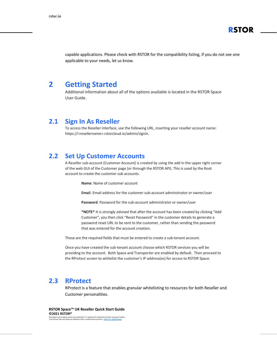

capable applications. Please check with RSTOR for the compatibility listing, if you do not see one applicable to your needs, let us know.

#### <span id="page-3-0"></span>**2 Getting Started**

Additional information about all of the options available is located in the RSTOR Space User Guide.

#### <span id="page-3-1"></span>**2.1 Sign In As Reseller**

To access the Reseller interface, use the following URL, inserting your reseller account name: https://<resellername>.rstorcloud.io/admin/signin.

#### <span id="page-3-2"></span>**2.2 Set Up Customer Accounts**

A Reseller sub-account (Customer Account) is created by using the add in the upper right corner of the web GUI of the Customer page (or through the RSTOR API). This is used by the Root account to create the customer sub accounts.

**Name**: Name of customer account

**Emai**l: Email address for the customer sub-account administrator or owner/user

**Password**: Password for the sub-account administrator or owner/user

**\*NOTE\*** It is strongly advised that after the account has been created by clicking "Add Customer", you then click "Reset Password" in the customer details to generate a password reset URL to be sent to the customer, rather than sending the password that was entered for the account creation.

These are the required fields that must be entered to create a sub-tenant account.

Once you have created the sub-tenant account choose which RSTOR services you will be providing to the account. Both Space and Transporter are enabled by default. Then proceed to the RProtect screen to whitelist the customer's IP address(es) for access to RSTOR Space.

#### <span id="page-3-3"></span>**2.3 RProtect**

RProtect is a feature that enables granular whitelisting to resources for both Reseller and Customer personalities.

**RSTOR Space™ UK Reseller Quick Start Guide ©2021 RSTOR®** All product and company names are trademarks™ or registered® trademarks of their respective holders. Use of them does not imply any affiliation with or endorsement by them. **[R-Stor Inc. Legal Privacy](https://www.rstor.io/legal-privacy/)**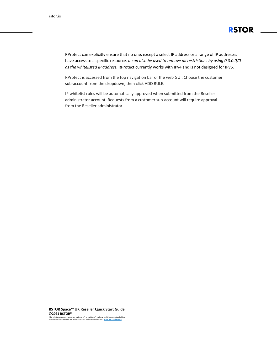

RProtect can explicitly ensure that no one, except a select IP address or a range of IP addresses have access to a specific resource. *It can also be used to remove all restrictions by using 0.0.0.0/0 as the whitelisted IP address.* RProtect currently works with IPv4 and is not designed for IPv6.

RProtect is accessed from the top navigation bar of the web GUI. Choose the customer sub-account from the dropdown, then click ADD RULE.

IP whitelist rules will be automatically approved when submitted from the Reseller administrator account. Requests from a customer sub-account will require approval from the Reseller administrator.

**RSTOR Space™ UK Reseller Quick Start Guide ©2021 RSTOR®**

All product and company names are trademarks™ or registered® trademarks of their respective holders. Use of them does not imply any affiliation with or endorsement by them. **[R-Stor Inc. Legal Privacy](https://www.rstor.io/legal-privacy/)**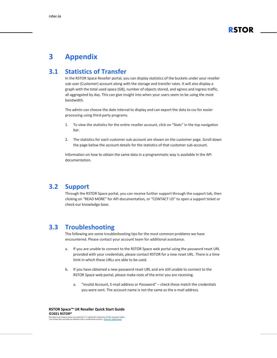

# <span id="page-5-0"></span>**3 Appendix**

### <span id="page-5-1"></span>**3.1 Statistics of Transfer**

In the RSTOR Space Reseller portal, you can display statistics of the buckets under your reseller sub-user (Customer) account along with the storage and transfer rates. It will also display a graph with the total used space (GB), number of objects stored, and egress and ingress traffic, all aggregated by day. This can give insight into when your users seem to be using the most bandwidth.

The admin can choose the date interval to display and can export the data to csv for easier processing using third-party programs.

- 1. To view the statistics for the entire reseller account, click on "Stats" in the top navigation bar.
- 2. The statistics for each customer sub-account are shown on the customer page. Scroll down the page below the account details for the statistics of that customer sub-account.

Information on how to obtain the same data in a programmatic way is available in the API documentation.

#### <span id="page-5-2"></span>**3.2 Support**

Through the RSTOR Space portal, you can receive further support through the support tab, then clicking on "READ MORE" for API documentation, or "CONTACT US" to open a support ticket or check our knowledge base.

#### <span id="page-5-3"></span>**3.3 Troubleshooting**

The following are some troubleshooting tips for the most common problems we have encountered. Please contact your account team for additional assistance.

- a. If you are unable to connect to the RSTOR Space web portal using the password reset URL provided with your credentials, please contact RSTOR for a new reset URL. There is a time limit in which these URLs are able to be used.
- b. If you have obtained a new password reset URL and are still unable to connect to the RSTOR Space web portal, please make note of the error you are receiving.
	- a. "invalid Account, E-mail address or Password" check these match the credentials you were sent. The account name is not the same as the e-mail address.